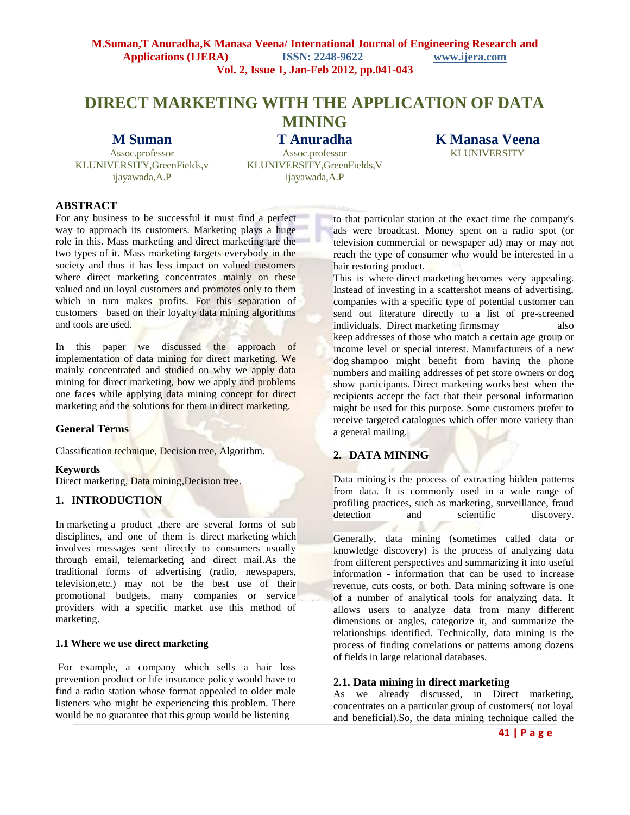## **M.Suman,T Anuradha,K Manasa Veena/ International Journal of Engineering Research and Applications (IJERA) ISSN: 2248-9622 www.ijera.com Vol. 2, Issue 1, Jan-Feb 2012, pp.041-043**

# **DIRECT MARKETING WITH THE APPLICATION OF DATA MINING**

# **M Suman**

Assoc.professor KLUNIVERSITY,GreenFields,v ijayawada,A.P

**T Anuradha** Assoc.professor KLUNIVERSITY,GreenFields,V ijayawada, A.P

**K Manasa Veena KLUNIVERSITY** 

## **ABSTRACT**

For any business to be successful it must find a perfect way to approach its customers. Marketing plays a huge role in this. Mass marketing and direct marketing are the two types of it. Mass marketing targets everybody in the society and thus it has less impact on valued customers where direct marketing concentrates mainly on these valued and un loyal customers and promotes only to them which in turn makes profits. For this separation of customers based on their loyalty data mining algorithms and tools are used.

In this paper we discussed the approach of implementation of data mining for direct marketing. We mainly concentrated and studied on why we apply data mining for direct marketing, how we apply and problems one faces while applying data mining concept for direct marketing and the solutions for them in direct marketing.

#### **General Terms**

Classification technique, Decision tree, Algorithm.

#### **Keywords**

Direct marketing, Data mining,Decision tree.

#### **1. INTRODUCTION**

In [marketing](http://www.timersnet.info/marketing) a product , there are several forms of sub disciplines, and one of them is direct [marketing](http://www.timersnet.info/marketing) which involves messages sent directly to consumers usually through email, telemarketing and direct mail.As the traditional forms of advertising (radio, newspapers, television,etc.) may not be the best use of their promotional budgets, many companies or service providers with a specific market use this method of marketing.

#### **1.1 Where we use direct marketing**

For example, a company which sells a hair loss prevention product or life insurance policy would have to find a radio station whose format appealed to older male listeners who might be experiencing this problem. There would be no guarantee that this group would be listening

to that particular station at the exact time the company's ads were broadcast. Money spent on a radio spot (or television commercial or newspaper ad) may or may not reach the type of consumer who would be interested in a hair restoring product.

This is where direct marketing becomes very appealing. Instead of investing in a scattershot means of advertising, companies with a specific type of potential customer can send out literature directly to a list of pre-screened individuals. Direct marketing firmsmay also keep addresses of those who match a certain age group or income level or special interest. Manufacturers of a new dog shampoo might benefit from having the phone numbers and mailing addresses of pet store owners or dog show participants. Direct marketing works best when the recipients accept the fact that their personal information might be used for this purpose. Some customers prefer to receive targeted catalogues which offer more variety than a general mailing.

# **2. DATA MINING**

Data mining is the process of extracting hidden patterns from data. It is commonly used in a wide range of profiling practices, such as marketing, surveillance, fraud detection and scientific discovery.

Generally, data mining (sometimes called data or knowledge discovery) is the process of analyzing data from different perspectives and summarizing it into useful information - information that can be used to increase revenue, cuts costs, or both. Data mining software is one of a number of analytical tools for analyzing data. It allows users to analyze data from many different dimensions or angles, categorize it, and summarize the relationships identified. Technically, data mining is the process of finding correlations or patterns among dozens of fields in large relational databases.

#### **2.1. Data mining in direct marketing**

As we already discussed, in Direct marketing, concentrates on a particular group of customers( not loyal and beneficial).So, the data mining technique called the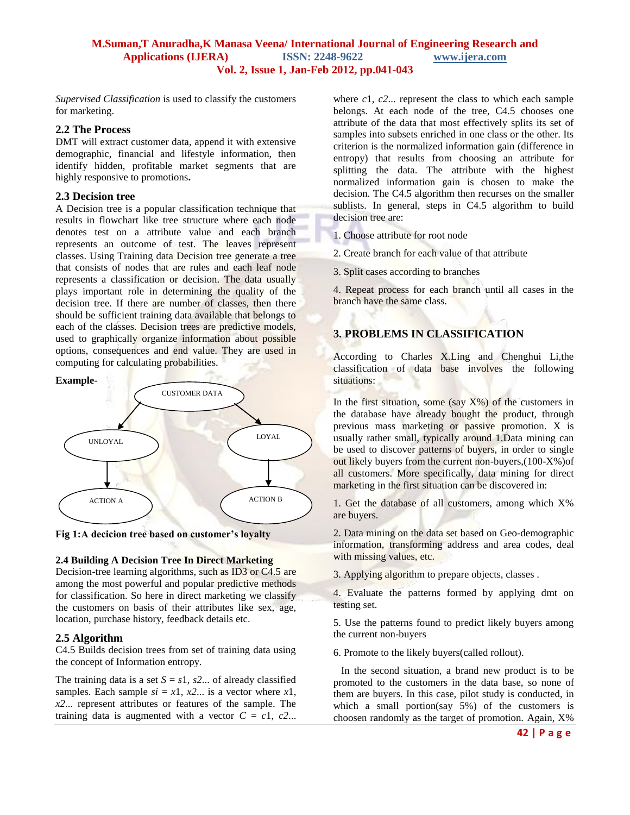#### **M.Suman,T Anuradha,K Manasa Veena/ International Journal of Engineering Research and Applications (IJERA) ISSN: 2248-9622 www.ijera.com Vol. 2, Issue 1, Jan-Feb 2012, pp.041-043**

*Supervised Classification* is used to classify the customers for marketing.

### **2.2 The Process**

DMT will extract customer data, append it with extensive demographic, financial and lifestyle information, then identify hidden, profitable market segments that are highly responsive to promotions**.**

## **2.3 Decision tree**

A Decision tree is a popular classification technique that results in flowchart like tree structure where each node denotes test on a attribute value and each branch represents an outcome of test. The leaves represent classes. Using Training data Decision tree generate a tree that consists of nodes that are rules and each leaf node represents a classification or decision. The data usually plays important role in determining the quality of the decision tree. If there are number of classes, then there should be sufficient training data available that belongs to each of the classes. Decision trees are predictive models, used to graphically organize information about possible options, consequences and end value. They are used in computing for calculating probabilities.

#### **Example-**



**Fig 1:A decicion tree based on customer's loyalty**

# **2.4 Building A Decision Tree In Direct Marketing**

Decision-tree learning algorithms, such as ID3 or C4.5 are among the most powerful and popular predictive methods for classification. So here in direct marketing we classify the customers on basis of their attributes like sex, age, location, purchase history, feedback details etc.

# **2.5 Algorithm**

C4.5 Builds decision trees from set of training data using the concept of Information entropy.

The training data is a set  $S = s_1$ ,  $s_2$ ... of already classified samples. Each sample  $si = x1$ ,  $x2$ ... is a vector where  $x1$ , *x2*... represent attributes or features of the sample. The training data is augmented with a vector  $C = c_1$ ,  $c_2$ ... where *c*1, *c2*... represent the class to which each sample belongs. At each node of the tree, C4.5 chooses one attribute of the data that most effectively splits its set of samples into subsets enriched in one class or the other. Its criterion is the normalized information gain (difference in entropy) that results from choosing an attribute for splitting the data. The attribute with the highest normalized information gain is chosen to make the decision. The C4.5 algorithm then recurses on the smaller sublists. In general, steps in C4.5 algorithm to build decision tree are:

1. Choose attribute for root node

2. Create branch for each value of that attribute

3. Split cases according to branches

4. Repeat process for each branch until all cases in the branch have the same class.

# **3. PROBLEMS IN CLASSIFICATION**

According to Charles X.Ling and Chenghui Li,the classification of data base involves the following situations:

In the first situation, some (say  $X\%$ ) of the customers in the database have already bought the product, through previous mass marketing or passive promotion. X is usually rather small, typically around 1.Data mining can be used to discover patterns of buyers, in order to single out likely buyers from the current non-buyers,(100-X%)of all customers. More specifically, data mining for direct marketing in the first situation can be discovered in:

1. Get the database of all customers, among which  $X\%$ are buyers.

2. Data mining on the data set based on Geo-demographic information, transforming address and area codes, deal with missing values, etc.

3. Applying algorithm to prepare objects, classes .

4. Evaluate the patterns formed by applying dmt on testing set.

5. Use the patterns found to predict likely buyers among the current non-buyers

6. Promote to the likely buyers(called rollout).

 In the second situation, a brand new product is to be promoted to the customers in the data base, so none of them are buyers. In this case, pilot study is conducted, in which a small portion(say 5%) of the customers is choosen randomly as the target of promotion. Again, X%